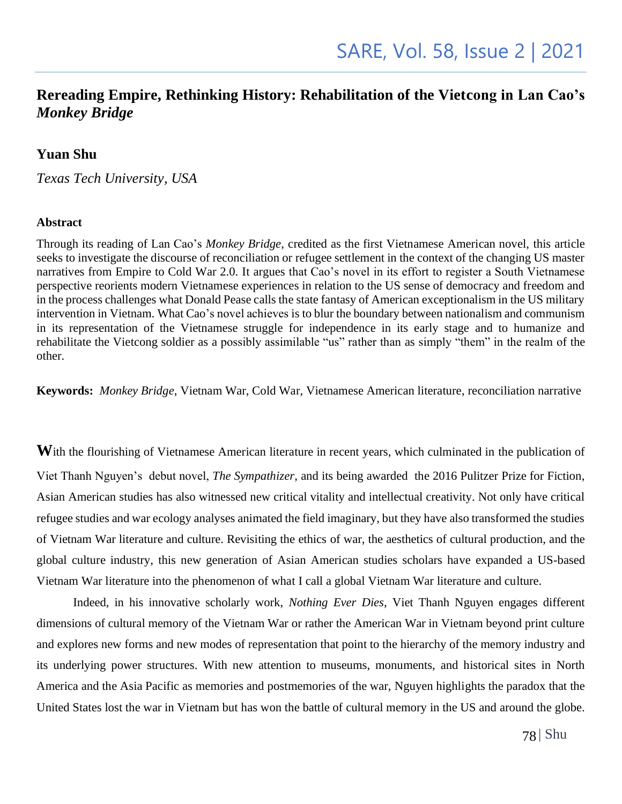### **Rereading Empire, Rethinking History: Rehabilitation of the Vietcong in Lan Cao's**  *Monkey Bridge*

### **Yuan Shu**

*Texas Tech University, USA*

#### **Abstract**

Through its reading of Lan Cao's *Monkey Bridge*, credited as the first Vietnamese American novel, this article seeks to investigate the discourse of reconciliation or refugee settlement in the context of the changing US master narratives from Empire to Cold War 2.0. It argues that Cao's novel in its effort to register a South Vietnamese perspective reorients modern Vietnamese experiences in relation to the US sense of democracy and freedom and in the process challenges what Donald Pease calls the state fantasy of American exceptionalism in the US military intervention in Vietnam. What Cao's novel achieves is to blur the boundary between nationalism and communism in its representation of the Vietnamese struggle for independence in its early stage and to humanize and rehabilitate the Vietcong soldier as a possibly assimilable "us" rather than as simply "them" in the realm of the other.

**Keywords:** *Monkey Bridge*, Vietnam War, Cold War, Vietnamese American literature, reconciliation narrative

With the flourishing of Vietnamese American literature in recent years, which culminated in the publication of Viet Thanh Nguyen's debut novel, *The Sympathizer*, and its being awarded the 2016 Pulitzer Prize for Fiction, Asian American studies has also witnessed new critical vitality and intellectual creativity. Not only have critical refugee studies and war ecology analyses animated the field imaginary, but they have also transformed the studies of Vietnam War literature and culture. Revisiting the ethics of war, the aesthetics of cultural production, and the global culture industry, this new generation of Asian American studies scholars have expanded a US-based Vietnam War literature into the phenomenon of what I call a global Vietnam War literature and culture.

Indeed, in his innovative scholarly work, *Nothing Ever Dies*, Viet Thanh Nguyen engages different dimensions of cultural memory of the Vietnam War or rather the American War in Vietnam beyond print culture and explores new forms and new modes of representation that point to the hierarchy of the memory industry and its underlying power structures. With new attention to museums, monuments, and historical sites in North America and the Asia Pacific as memories and postmemories of the war, Nguyen highlights the paradox that the United States lost the war in Vietnam but has won the battle of cultural memory in the US and around the globe.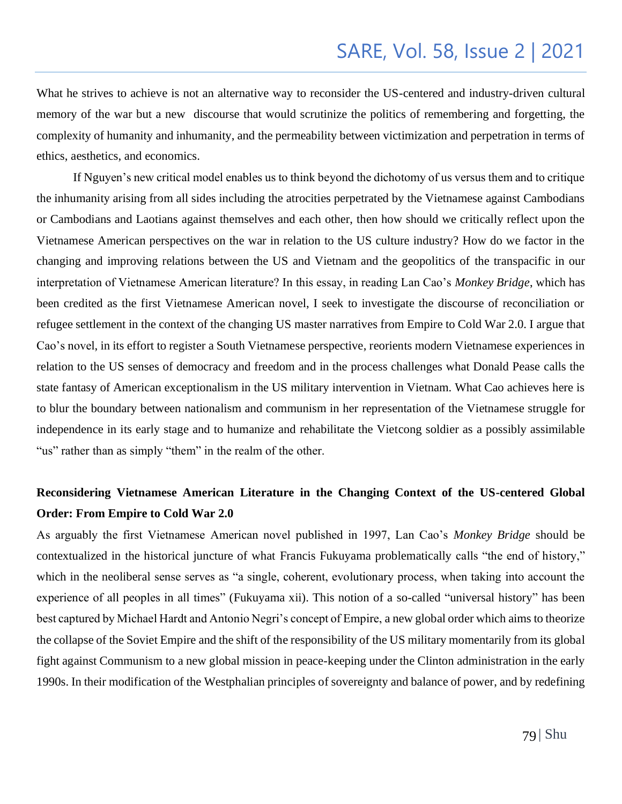What he strives to achieve is not an alternative way to reconsider the US-centered and industry-driven cultural memory of the war but a new discourse that would scrutinize the politics of remembering and forgetting, the complexity of humanity and inhumanity, and the permeability between victimization and perpetration in terms of ethics, aesthetics, and economics.

If Nguyen's new critical model enables us to think beyond the dichotomy of us versus them and to critique the inhumanity arising from all sides including the atrocities perpetrated by the Vietnamese against Cambodians or Cambodians and Laotians against themselves and each other, then how should we critically reflect upon the Vietnamese American perspectives on the war in relation to the US culture industry? How do we factor in the changing and improving relations between the US and Vietnam and the geopolitics of the transpacific in our interpretation of Vietnamese American literature? In this essay, in reading Lan Cao's *Monkey Bridge*, which has been credited as the first Vietnamese American novel, I seek to investigate the discourse of reconciliation or refugee settlement in the context of the changing US master narratives from Empire to Cold War 2.0. I argue that Cao's novel, in its effort to register a South Vietnamese perspective, reorients modern Vietnamese experiences in relation to the US senses of democracy and freedom and in the process challenges what Donald Pease calls the state fantasy of American exceptionalism in the US military intervention in Vietnam. What Cao achieves here is to blur the boundary between nationalism and communism in her representation of the Vietnamese struggle for independence in its early stage and to humanize and rehabilitate the Vietcong soldier as a possibly assimilable "us" rather than as simply "them" in the realm of the other.

## **Reconsidering Vietnamese American Literature in the Changing Context of the US-centered Global Order: From Empire to Cold War 2.0**

As arguably the first Vietnamese American novel published in 1997, Lan Cao's *Monkey Bridge* should be contextualized in the historical juncture of what Francis Fukuyama problematically calls "the end of history," which in the neoliberal sense serves as "a single, coherent, evolutionary process, when taking into account the experience of all peoples in all times" (Fukuyama xii). This notion of a so-called "universal history" has been best captured by Michael Hardt and Antonio Negri's concept of Empire, a new global order which aims to theorize the collapse of the Soviet Empire and the shift of the responsibility of the US military momentarily from its global fight against Communism to a new global mission in peace-keeping under the Clinton administration in the early 1990s. In their modification of the Westphalian principles of sovereignty and balance of power, and by redefining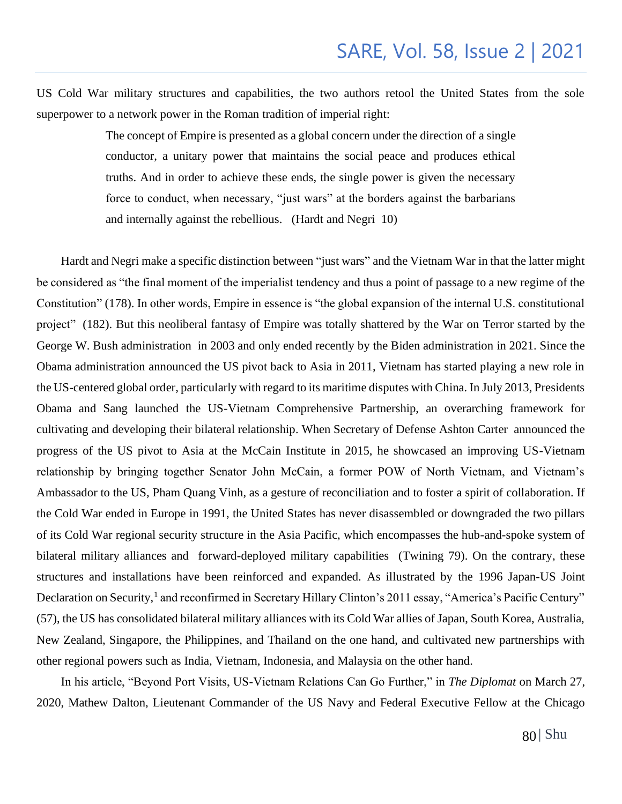US Cold War military structures and capabilities, the two authors retool the United States from the sole superpower to a network power in the Roman tradition of imperial right:

> The concept of Empire is presented as a global concern under the direction of a single conductor, a unitary power that maintains the social peace and produces ethical truths. And in order to achieve these ends, the single power is given the necessary force to conduct, when necessary, "just wars" at the borders against the barbarians and internally against the rebellious. (Hardt and Negri 10)

 Hardt and Negri make a specific distinction between "just wars" and the Vietnam War in that the latter might be considered as "the final moment of the imperialist tendency and thus a point of passage to a new regime of the Constitution" (178). In other words, Empire in essence is "the global expansion of the internal U.S. constitutional project" (182). But this neoliberal fantasy of Empire was totally shattered by the War on Terror started by the George W. Bush administration in 2003 and only ended recently by the Biden administration in 2021. Since the Obama administration announced the US pivot back to Asia in 2011, Vietnam has started playing a new role in the US-centered global order, particularly with regard to its maritime disputes with China. In July 2013, Presidents Obama and Sang launched the US-Vietnam Comprehensive Partnership, an overarching framework for cultivating and developing their bilateral relationship. When Secretary of Defense Ashton Carter announced the progress of the US pivot to Asia at the McCain Institute in 2015, he showcased an improving US-Vietnam relationship by bringing together Senator John McCain, a former POW of North Vietnam, and Vietnam's Ambassador to the US, Pham Quang Vinh, as a gesture of reconciliation and to foster a spirit of collaboration. If the Cold War ended in Europe in 1991, the United States has never disassembled or downgraded the two pillars of its Cold War regional security structure in the Asia Pacific, which encompasses the hub-and-spoke system of bilateral military alliances and forward-deployed military capabilities (Twining 79). On the contrary, these structures and installations have been reinforced and expanded. As illustrated by the 1996 Japan-US Joint Declaration on Security,<sup>1</sup> and reconfirmed in Secretary Hillary Clinton's 2011 essay, "America's Pacific Century" (57), the US has consolidated bilateral military alliances with its Cold War allies of Japan, South Korea, Australia, New Zealand, Singapore, the Philippines, and Thailand on the one hand, and cultivated new partnerships with other regional powers such as India, Vietnam, Indonesia, and Malaysia on the other hand.

 In his article, "Beyond Port Visits, US-Vietnam Relations Can Go Further," in *The Diplomat* on March 27, 2020, Mathew Dalton, Lieutenant Commander of the US Navy and Federal Executive Fellow at the Chicago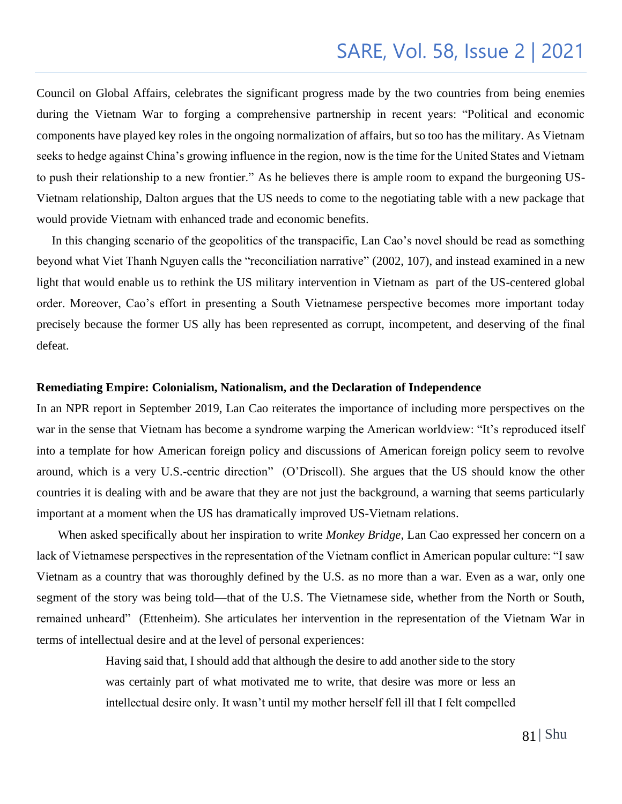Council on Global Affairs, celebrates the significant progress made by the two countries from being enemies during the Vietnam War to forging a comprehensive partnership in recent years: "Political and economic components have played key roles in the ongoing normalization of affairs, but so too has the military. As Vietnam seeks to hedge against China's growing influence in the region, now is the time for the United States and Vietnam to push their relationship to a new frontier." As he believes there is ample room to expand the burgeoning US-Vietnam relationship, Dalton argues that the US needs to come to the negotiating table with a new package that would provide Vietnam with enhanced trade and economic benefits.

 In this changing scenario of the geopolitics of the transpacific, Lan Cao's novel should be read as something beyond what Viet Thanh Nguyen calls the "reconciliation narrative" (2002, 107), and instead examined in a new light that would enable us to rethink the US military intervention in Vietnam as part of the US-centered global order. Moreover, Cao's effort in presenting a South Vietnamese perspective becomes more important today precisely because the former US ally has been represented as corrupt, incompetent, and deserving of the final defeat.

#### **Remediating Empire: Colonialism, Nationalism, and the Declaration of Independence**

In an NPR report in September 2019, Lan Cao reiterates the importance of including more perspectives on the war in the sense that Vietnam has become a syndrome warping the American worldview: "It's reproduced itself into a template for how American foreign policy and discussions of American foreign policy seem to revolve around, which is a very U.S.-centric direction" (O'Driscoll). She argues that the US should know the other countries it is dealing with and be aware that they are not just the background, a warning that seems particularly important at a moment when the US has dramatically improved US-Vietnam relations.

 When asked specifically about her inspiration to write *Monkey Bridge*, Lan Cao expressed her concern on a lack of Vietnamese perspectives in the representation of the Vietnam conflict in American popular culture: "I saw Vietnam as a country that was thoroughly defined by the U.S. as no more than a war. Even as a war, only one segment of the story was being told—that of the U.S. The Vietnamese side, whether from the North or South, remained unheard" (Ettenheim). She articulates her intervention in the representation of the Vietnam War in terms of intellectual desire and at the level of personal experiences:

> Having said that, I should add that although the desire to add another side to the story was certainly part of what motivated me to write, that desire was more or less an intellectual desire only. It wasn't until my mother herself fell ill that I felt compelled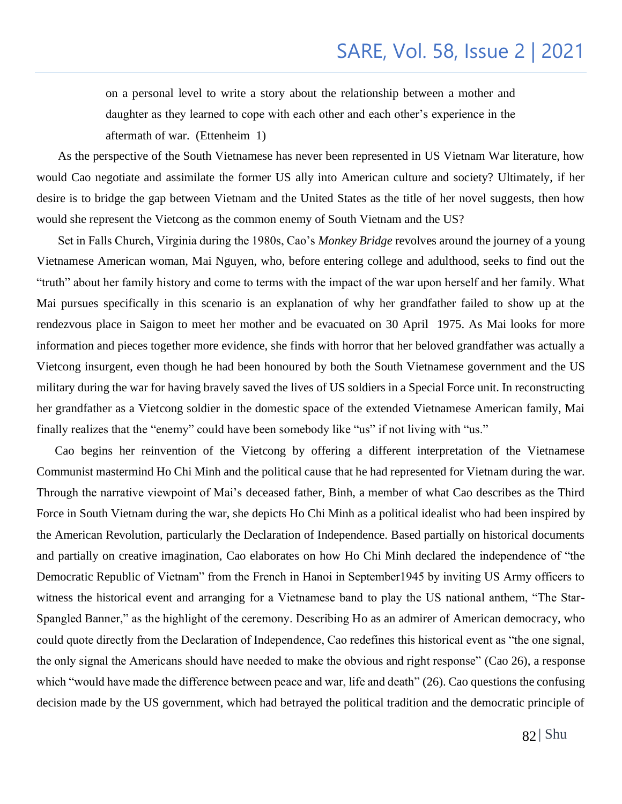on a personal level to write a story about the relationship between a mother and daughter as they learned to cope with each other and each other's experience in the aftermath of war. (Ettenheim 1)

 As the perspective of the South Vietnamese has never been represented in US Vietnam War literature, how would Cao negotiate and assimilate the former US ally into American culture and society? Ultimately, if her desire is to bridge the gap between Vietnam and the United States as the title of her novel suggests, then how would she represent the Vietcong as the common enemy of South Vietnam and the US?

 Set in Falls Church, Virginia during the 1980s, Cao's *Monkey Bridge* revolves around the journey of a young Vietnamese American woman, Mai Nguyen, who, before entering college and adulthood, seeks to find out the "truth" about her family history and come to terms with the impact of the war upon herself and her family. What Mai pursues specifically in this scenario is an explanation of why her grandfather failed to show up at the rendezvous place in Saigon to meet her mother and be evacuated on 30 April 1975. As Mai looks for more information and pieces together more evidence, she finds with horror that her beloved grandfather was actually a Vietcong insurgent, even though he had been honoured by both the South Vietnamese government and the US military during the war for having bravely saved the lives of US soldiers in a Special Force unit. In reconstructing her grandfather as a Vietcong soldier in the domestic space of the extended Vietnamese American family, Mai finally realizes that the "enemy" could have been somebody like "us" if not living with "us."

 Cao begins her reinvention of the Vietcong by offering a different interpretation of the Vietnamese Communist mastermind Ho Chi Minh and the political cause that he had represented for Vietnam during the war. Through the narrative viewpoint of Mai's deceased father, Binh, a member of what Cao describes as the Third Force in South Vietnam during the war, she depicts Ho Chi Minh as a political idealist who had been inspired by the American Revolution, particularly the Declaration of Independence. Based partially on historical documents and partially on creative imagination, Cao elaborates on how Ho Chi Minh declared the independence of "the Democratic Republic of Vietnam" from the French in Hanoi in September1945 by inviting US Army officers to witness the historical event and arranging for a Vietnamese band to play the US national anthem, "The Star-Spangled Banner," as the highlight of the ceremony. Describing Ho as an admirer of American democracy, who could quote directly from the Declaration of Independence, Cao redefines this historical event as "the one signal, the only signal the Americans should have needed to make the obvious and right response" (Cao 26), a response which "would have made the difference between peace and war, life and death" (26). Cao questions the confusing decision made by the US government, which had betrayed the political tradition and the democratic principle of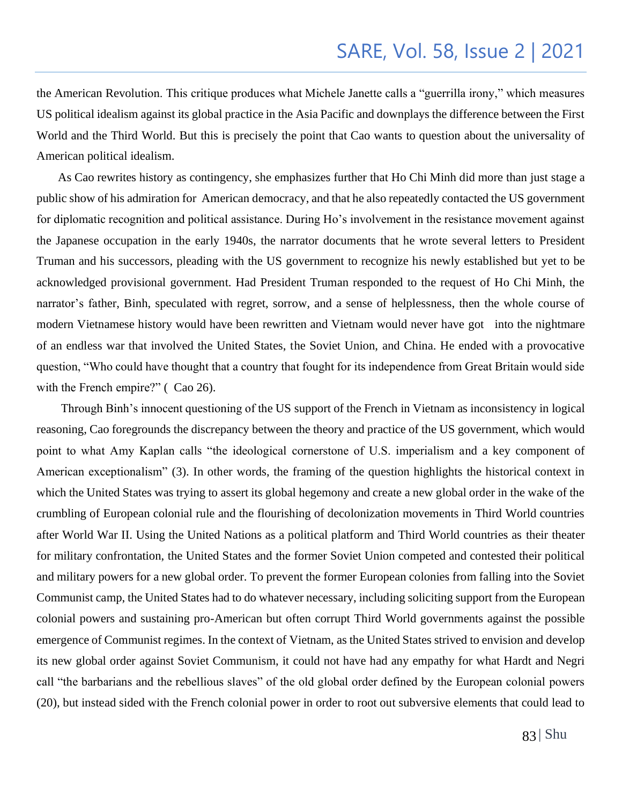the American Revolution. This critique produces what Michele Janette calls a "guerrilla irony," which measures US political idealism against its global practice in the Asia Pacific and downplays the difference between the First World and the Third World. But this is precisely the point that Cao wants to question about the universality of American political idealism.

 As Cao rewrites history as contingency, she emphasizes further that Ho Chi Minh did more than just stage a public show of his admiration for American democracy, and that he also repeatedly contacted the US government for diplomatic recognition and political assistance. During Ho's involvement in the resistance movement against the Japanese occupation in the early 1940s, the narrator documents that he wrote several letters to President Truman and his successors, pleading with the US government to recognize his newly established but yet to be acknowledged provisional government. Had President Truman responded to the request of Ho Chi Minh, the narrator's father, Binh, speculated with regret, sorrow, and a sense of helplessness, then the whole course of modern Vietnamese history would have been rewritten and Vietnam would never have got into the nightmare of an endless war that involved the United States, the Soviet Union, and China. He ended with a provocative question, "Who could have thought that a country that fought for its independence from Great Britain would side with the French empire?" (Cao 26).

 Through Binh's innocent questioning of the US support of the French in Vietnam as inconsistency in logical reasoning, Cao foregrounds the discrepancy between the theory and practice of the US government, which would point to what Amy Kaplan calls "the ideological cornerstone of U.S. imperialism and a key component of American exceptionalism" (3). In other words, the framing of the question highlights the historical context in which the United States was trying to assert its global hegemony and create a new global order in the wake of the crumbling of European colonial rule and the flourishing of decolonization movements in Third World countries after World War II. Using the United Nations as a political platform and Third World countries as their theater for military confrontation, the United States and the former Soviet Union competed and contested their political and military powers for a new global order. To prevent the former European colonies from falling into the Soviet Communist camp, the United States had to do whatever necessary, including soliciting support from the European colonial powers and sustaining pro-American but often corrupt Third World governments against the possible emergence of Communist regimes. In the context of Vietnam, as the United States strived to envision and develop its new global order against Soviet Communism, it could not have had any empathy for what Hardt and Negri call "the barbarians and the rebellious slaves" of the old global order defined by the European colonial powers (20), but instead sided with the French colonial power in order to root out subversive elements that could lead to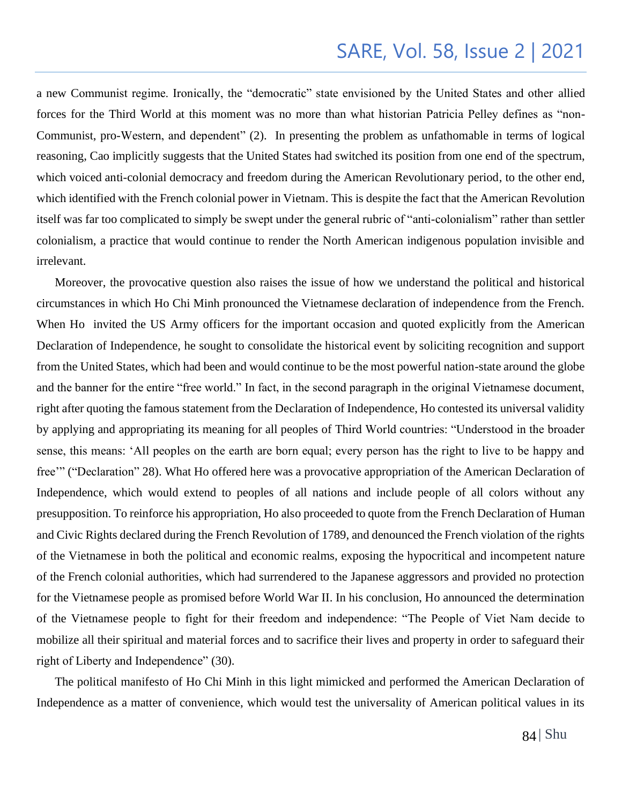a new Communist regime. Ironically, the "democratic" state envisioned by the United States and other allied forces for the Third World at this moment was no more than what historian Patricia Pelley defines as "non-Communist, pro-Western, and dependent" (2). In presenting the problem as unfathomable in terms of logical reasoning, Cao implicitly suggests that the United States had switched its position from one end of the spectrum, which voiced anti-colonial democracy and freedom during the American Revolutionary period, to the other end, which identified with the French colonial power in Vietnam. This is despite the fact that the American Revolution itself was far too complicated to simply be swept under the general rubric of "anti-colonialism" rather than settler colonialism, a practice that would continue to render the North American indigenous population invisible and irrelevant.

 Moreover, the provocative question also raises the issue of how we understand the political and historical circumstances in which Ho Chi Minh pronounced the Vietnamese declaration of independence from the French. When Ho invited the US Army officers for the important occasion and quoted explicitly from the American Declaration of Independence, he sought to consolidate the historical event by soliciting recognition and support from the United States, which had been and would continue to be the most powerful nation-state around the globe and the banner for the entire "free world." In fact, in the second paragraph in the original Vietnamese document, right after quoting the famous statement from the Declaration of Independence, Ho contested its universal validity by applying and appropriating its meaning for all peoples of Third World countries: "Understood in the broader sense, this means: 'All peoples on the earth are born equal; every person has the right to live to be happy and free'" ("Declaration" 28). What Ho offered here was a provocative appropriation of the American Declaration of Independence, which would extend to peoples of all nations and include people of all colors without any presupposition. To reinforce his appropriation, Ho also proceeded to quote from the French Declaration of Human and Civic Rights declared during the French Revolution of 1789, and denounced the French violation of the rights of the Vietnamese in both the political and economic realms, exposing the hypocritical and incompetent nature of the French colonial authorities, which had surrendered to the Japanese aggressors and provided no protection for the Vietnamese people as promised before World War II. In his conclusion, Ho announced the determination of the Vietnamese people to fight for their freedom and independence: "The People of Viet Nam decide to mobilize all their spiritual and material forces and to sacrifice their lives and property in order to safeguard their right of Liberty and Independence" (30).

 The political manifesto of Ho Chi Minh in this light mimicked and performed the American Declaration of Independence as a matter of convenience, which would test the universality of American political values in its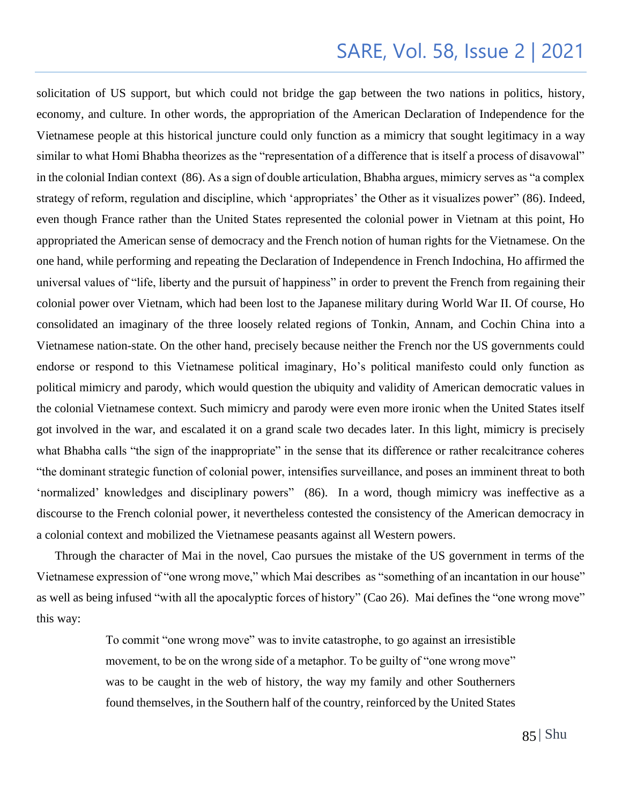solicitation of US support, but which could not bridge the gap between the two nations in politics, history, economy, and culture. In other words, the appropriation of the American Declaration of Independence for the Vietnamese people at this historical juncture could only function as a mimicry that sought legitimacy in a way similar to what Homi Bhabha theorizes as the "representation of a difference that is itself a process of disavowal" in the colonial Indian context (86). As a sign of double articulation, Bhabha argues, mimicry serves as "a complex strategy of reform, regulation and discipline, which 'appropriates' the Other as it visualizes power" (86). Indeed, even though France rather than the United States represented the colonial power in Vietnam at this point, Ho appropriated the American sense of democracy and the French notion of human rights for the Vietnamese. On the one hand, while performing and repeating the Declaration of Independence in French Indochina, Ho affirmed the universal values of "life, liberty and the pursuit of happiness" in order to prevent the French from regaining their colonial power over Vietnam, which had been lost to the Japanese military during World War II. Of course, Ho consolidated an imaginary of the three loosely related regions of Tonkin, Annam, and Cochin China into a Vietnamese nation-state. On the other hand, precisely because neither the French nor the US governments could endorse or respond to this Vietnamese political imaginary, Ho's political manifesto could only function as political mimicry and parody, which would question the ubiquity and validity of American democratic values in the colonial Vietnamese context. Such mimicry and parody were even more ironic when the United States itself got involved in the war, and escalated it on a grand scale two decades later. In this light, mimicry is precisely what Bhabha calls "the sign of the inappropriate" in the sense that its difference or rather recalcitrance coheres "the dominant strategic function of colonial power, intensifies surveillance, and poses an imminent threat to both 'normalized' knowledges and disciplinary powers" (86). In a word, though mimicry was ineffective as a discourse to the French colonial power, it nevertheless contested the consistency of the American democracy in a colonial context and mobilized the Vietnamese peasants against all Western powers.

 Through the character of Mai in the novel, Cao pursues the mistake of the US government in terms of the Vietnamese expression of "one wrong move," which Mai describes as "something of an incantation in our house" as well as being infused "with all the apocalyptic forces of history" (Cao 26). Mai defines the "one wrong move" this way:

> To commit "one wrong move" was to invite catastrophe, to go against an irresistible movement, to be on the wrong side of a metaphor. To be guilty of "one wrong move" was to be caught in the web of history, the way my family and other Southerners found themselves, in the Southern half of the country, reinforced by the United States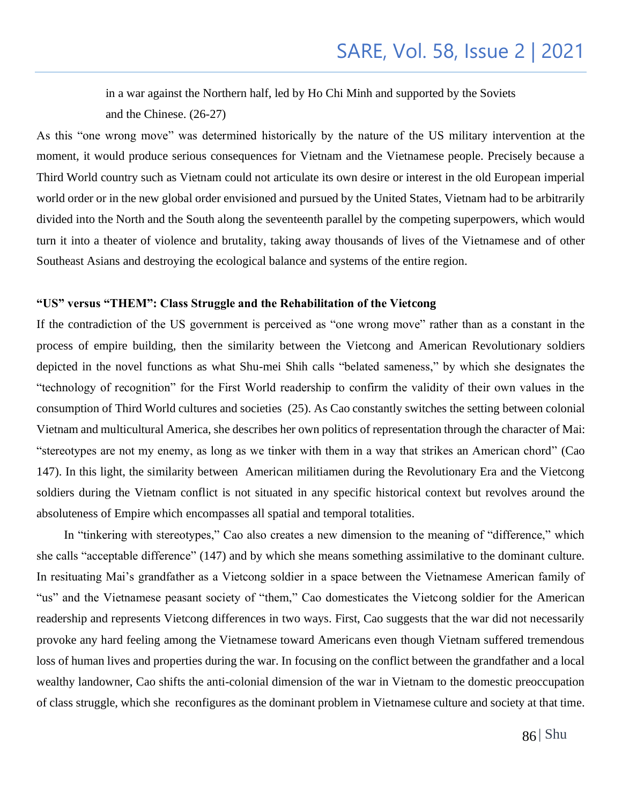in a war against the Northern half, led by Ho Chi Minh and supported by the Soviets and the Chinese. (26-27)

As this "one wrong move" was determined historically by the nature of the US military intervention at the moment, it would produce serious consequences for Vietnam and the Vietnamese people. Precisely because a Third World country such as Vietnam could not articulate its own desire or interest in the old European imperial world order or in the new global order envisioned and pursued by the United States, Vietnam had to be arbitrarily divided into the North and the South along the seventeenth parallel by the competing superpowers, which would turn it into a theater of violence and brutality, taking away thousands of lives of the Vietnamese and of other Southeast Asians and destroying the ecological balance and systems of the entire region.

### **"US" versus "THEM": Class Struggle and the Rehabilitation of the Vietcong**

If the contradiction of the US government is perceived as "one wrong move" rather than as a constant in the process of empire building, then the similarity between the Vietcong and American Revolutionary soldiers depicted in the novel functions as what Shu-mei Shih calls "belated sameness," by which she designates the "technology of recognition" for the First World readership to confirm the validity of their own values in the consumption of Third World cultures and societies (25). As Cao constantly switches the setting between colonial Vietnam and multicultural America, she describes her own politics of representation through the character of Mai: "stereotypes are not my enemy, as long as we tinker with them in a way that strikes an American chord" (Cao 147). In this light, the similarity between American militiamen during the Revolutionary Era and the Vietcong soldiers during the Vietnam conflict is not situated in any specific historical context but revolves around the absoluteness of Empire which encompasses all spatial and temporal totalities.

 In "tinkering with stereotypes," Cao also creates a new dimension to the meaning of "difference," which she calls "acceptable difference" (147) and by which she means something assimilative to the dominant culture. In resituating Mai's grandfather as a Vietcong soldier in a space between the Vietnamese American family of "us" and the Vietnamese peasant society of "them," Cao domesticates the Vietcong soldier for the American readership and represents Vietcong differences in two ways. First, Cao suggests that the war did not necessarily provoke any hard feeling among the Vietnamese toward Americans even though Vietnam suffered tremendous loss of human lives and properties during the war. In focusing on the conflict between the grandfather and a local wealthy landowner, Cao shifts the anti-colonial dimension of the war in Vietnam to the domestic preoccupation of class struggle, which she reconfigures as the dominant problem in Vietnamese culture and society at that time.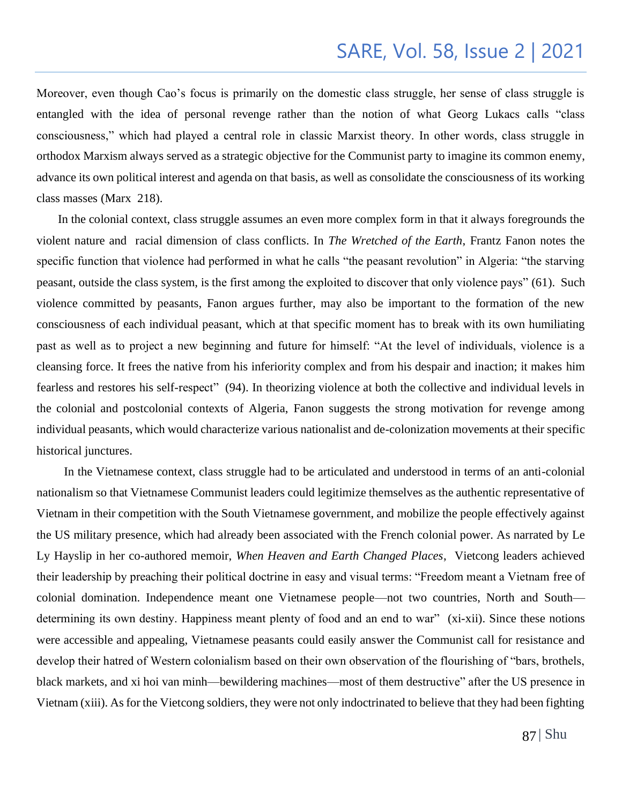Moreover, even though Cao's focus is primarily on the domestic class struggle, her sense of class struggle is entangled with the idea of personal revenge rather than the notion of what Georg Lukacs calls "class consciousness," which had played a central role in classic Marxist theory. In other words, class struggle in orthodox Marxism always served as a strategic objective for the Communist party to imagine its common enemy, advance its own political interest and agenda on that basis, as well as consolidate the consciousness of its working class masses (Marx 218).

 In the colonial context, class struggle assumes an even more complex form in that it always foregrounds the violent nature and racial dimension of class conflicts. In *The Wretched of the Earth*, Frantz Fanon notes the specific function that violence had performed in what he calls "the peasant revolution" in Algeria: "the starving peasant, outside the class system, is the first among the exploited to discover that only violence pays" (61). Such violence committed by peasants, Fanon argues further, may also be important to the formation of the new consciousness of each individual peasant, which at that specific moment has to break with its own humiliating past as well as to project a new beginning and future for himself: "At the level of individuals, violence is a cleansing force. It frees the native from his inferiority complex and from his despair and inaction; it makes him fearless and restores his self-respect" (94). In theorizing violence at both the collective and individual levels in the colonial and postcolonial contexts of Algeria, Fanon suggests the strong motivation for revenge among individual peasants, which would characterize various nationalist and de-colonization movements at their specific historical junctures.

 In the Vietnamese context, class struggle had to be articulated and understood in terms of an anti-colonial nationalism so that Vietnamese Communist leaders could legitimize themselves as the authentic representative of Vietnam in their competition with the South Vietnamese government, and mobilize the people effectively against the US military presence, which had already been associated with the French colonial power. As narrated by Le Ly Hayslip in her co-authored memoir, *When Heaven and Earth Changed Places*, Vietcong leaders achieved their leadership by preaching their political doctrine in easy and visual terms: "Freedom meant a Vietnam free of colonial domination. Independence meant one Vietnamese people—not two countries, North and South determining its own destiny. Happiness meant plenty of food and an end to war" (xi-xii). Since these notions were accessible and appealing, Vietnamese peasants could easily answer the Communist call for resistance and develop their hatred of Western colonialism based on their own observation of the flourishing of "bars, brothels, black markets, and xi hoi van minh—bewildering machines—most of them destructive" after the US presence in Vietnam (xiii). As for the Vietcong soldiers, they were not only indoctrinated to believe that they had been fighting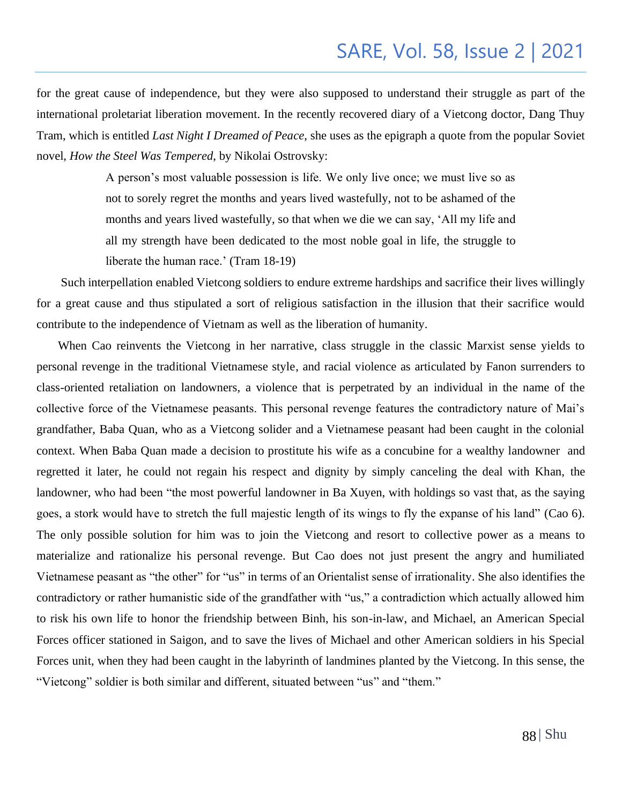for the great cause of independence, but they were also supposed to understand their struggle as part of the international proletariat liberation movement. In the recently recovered diary of a Vietcong doctor, Dang Thuy Tram, which is entitled *Last Night I Dreamed of Peace*, she uses as the epigraph a quote from the popular Soviet novel, *How the Steel Was Tempered*, by Nikolai Ostrovsky:

> A person's most valuable possession is life. We only live once; we must live so as not to sorely regret the months and years lived wastefully, not to be ashamed of the months and years lived wastefully, so that when we die we can say, 'All my life and all my strength have been dedicated to the most noble goal in life, the struggle to liberate the human race.' (Tram 18-19)

 Such interpellation enabled Vietcong soldiers to endure extreme hardships and sacrifice their lives willingly for a great cause and thus stipulated a sort of religious satisfaction in the illusion that their sacrifice would contribute to the independence of Vietnam as well as the liberation of humanity.

 When Cao reinvents the Vietcong in her narrative, class struggle in the classic Marxist sense yields to personal revenge in the traditional Vietnamese style, and racial violence as articulated by Fanon surrenders to class-oriented retaliation on landowners, a violence that is perpetrated by an individual in the name of the collective force of the Vietnamese peasants. This personal revenge features the contradictory nature of Mai's grandfather, Baba Quan, who as a Vietcong solider and a Vietnamese peasant had been caught in the colonial context. When Baba Quan made a decision to prostitute his wife as a concubine for a wealthy landowner and regretted it later, he could not regain his respect and dignity by simply canceling the deal with Khan, the landowner, who had been "the most powerful landowner in Ba Xuyen, with holdings so vast that, as the saying goes, a stork would have to stretch the full majestic length of its wings to fly the expanse of his land" (Cao 6). The only possible solution for him was to join the Vietcong and resort to collective power as a means to materialize and rationalize his personal revenge. But Cao does not just present the angry and humiliated Vietnamese peasant as "the other" for "us" in terms of an Orientalist sense of irrationality. She also identifies the contradictory or rather humanistic side of the grandfather with "us," a contradiction which actually allowed him to risk his own life to honor the friendship between Binh, his son-in-law, and Michael, an American Special Forces officer stationed in Saigon, and to save the lives of Michael and other American soldiers in his Special Forces unit, when they had been caught in the labyrinth of landmines planted by the Vietcong. In this sense, the "Vietcong" soldier is both similar and different, situated between "us" and "them."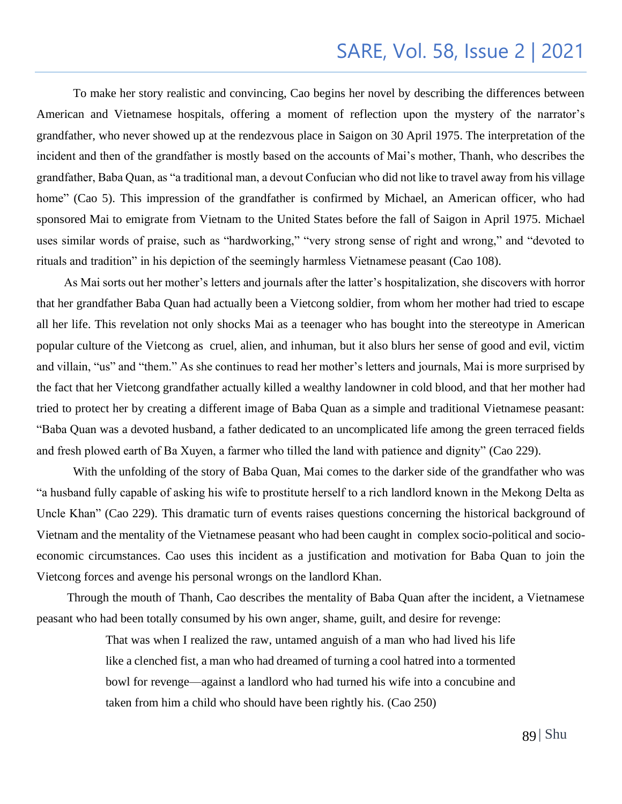To make her story realistic and convincing, Cao begins her novel by describing the differences between American and Vietnamese hospitals, offering a moment of reflection upon the mystery of the narrator's grandfather, who never showed up at the rendezvous place in Saigon on 30 April 1975. The interpretation of the incident and then of the grandfather is mostly based on the accounts of Mai's mother, Thanh, who describes the grandfather, Baba Quan, as "a traditional man, a devout Confucian who did not like to travel away from his village home" (Cao 5). This impression of the grandfather is confirmed by Michael, an American officer, who had sponsored Mai to emigrate from Vietnam to the United States before the fall of Saigon in April 1975. Michael uses similar words of praise, such as "hardworking," "very strong sense of right and wrong," and "devoted to rituals and tradition" in his depiction of the seemingly harmless Vietnamese peasant (Cao 108).

 As Mai sorts out her mother's letters and journals after the latter's hospitalization, she discovers with horror that her grandfather Baba Quan had actually been a Vietcong soldier, from whom her mother had tried to escape all her life. This revelation not only shocks Mai as a teenager who has bought into the stereotype in American popular culture of the Vietcong as cruel, alien, and inhuman, but it also blurs her sense of good and evil, victim and villain, "us" and "them." As she continues to read her mother's letters and journals, Mai is more surprised by the fact that her Vietcong grandfather actually killed a wealthy landowner in cold blood, and that her mother had tried to protect her by creating a different image of Baba Quan as a simple and traditional Vietnamese peasant: "Baba Quan was a devoted husband, a father dedicated to an uncomplicated life among the green terraced fields and fresh plowed earth of Ba Xuyen, a farmer who tilled the land with patience and dignity" (Cao 229).

With the unfolding of the story of Baba Quan, Mai comes to the darker side of the grandfather who was "a husband fully capable of asking his wife to prostitute herself to a rich landlord known in the Mekong Delta as Uncle Khan" (Cao 229). This dramatic turn of events raises questions concerning the historical background of Vietnam and the mentality of the Vietnamese peasant who had been caught in complex socio-political and socioeconomic circumstances. Cao uses this incident as a justification and motivation for Baba Quan to join the Vietcong forces and avenge his personal wrongs on the landlord Khan.

 Through the mouth of Thanh, Cao describes the mentality of Baba Quan after the incident, a Vietnamese peasant who had been totally consumed by his own anger, shame, guilt, and desire for revenge:

> That was when I realized the raw, untamed anguish of a man who had lived his life like a clenched fist, a man who had dreamed of turning a cool hatred into a tormented bowl for revenge—against a landlord who had turned his wife into a concubine and taken from him a child who should have been rightly his. (Cao 250)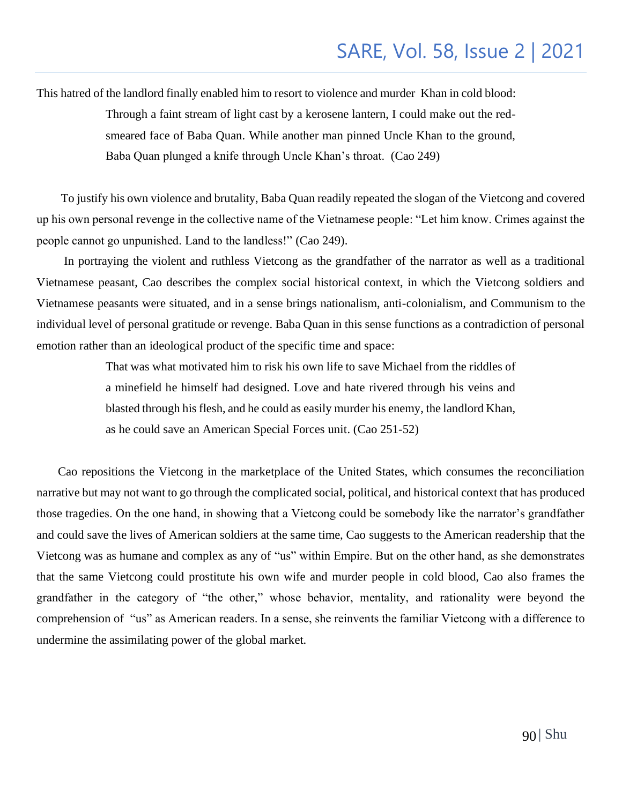This hatred of the landlord finally enabled him to resort to violence and murder Khan in cold blood:

Through a faint stream of light cast by a kerosene lantern, I could make out the redsmeared face of Baba Quan. While another man pinned Uncle Khan to the ground, Baba Quan plunged a knife through Uncle Khan's throat. (Cao 249)

 To justify his own violence and brutality, Baba Quan readily repeated the slogan of the Vietcong and covered up his own personal revenge in the collective name of the Vietnamese people: "Let him know. Crimes against the people cannot go unpunished. Land to the landless!" (Cao 249).

 In portraying the violent and ruthless Vietcong as the grandfather of the narrator as well as a traditional Vietnamese peasant, Cao describes the complex social historical context, in which the Vietcong soldiers and Vietnamese peasants were situated, and in a sense brings nationalism, anti-colonialism, and Communism to the individual level of personal gratitude or revenge. Baba Quan in this sense functions as a contradiction of personal emotion rather than an ideological product of the specific time and space:

> That was what motivated him to risk his own life to save Michael from the riddles of a minefield he himself had designed. Love and hate rivered through his veins and blasted through his flesh, and he could as easily murder his enemy, the landlord Khan, as he could save an American Special Forces unit. (Cao 251-52)

 Cao repositions the Vietcong in the marketplace of the United States, which consumes the reconciliation narrative but may not want to go through the complicated social, political, and historical context that has produced those tragedies. On the one hand, in showing that a Vietcong could be somebody like the narrator's grandfather and could save the lives of American soldiers at the same time, Cao suggests to the American readership that the Vietcong was as humane and complex as any of "us" within Empire. But on the other hand, as she demonstrates that the same Vietcong could prostitute his own wife and murder people in cold blood, Cao also frames the grandfather in the category of "the other," whose behavior, mentality, and rationality were beyond the comprehension of "us" as American readers. In a sense, she reinvents the familiar Vietcong with a difference to undermine the assimilating power of the global market.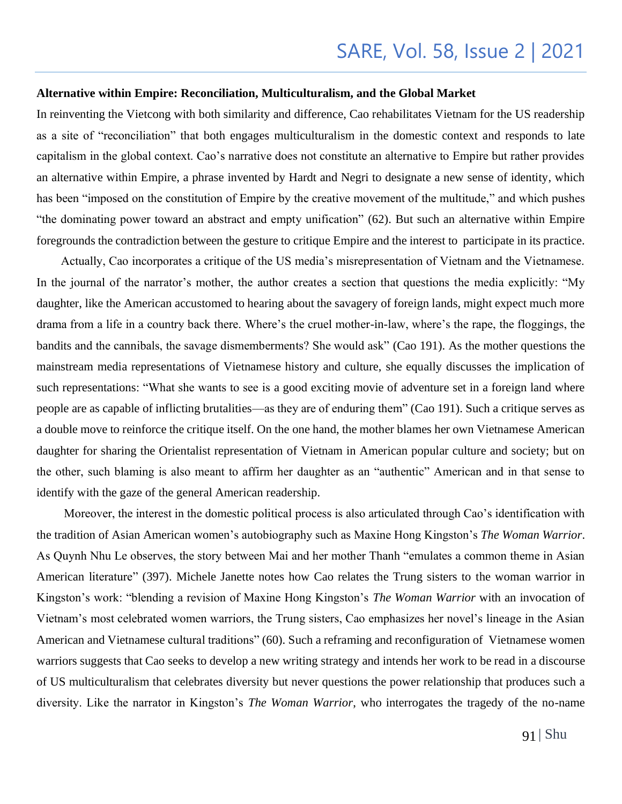#### **Alternative within Empire: Reconciliation, Multiculturalism, and the Global Market**

In reinventing the Vietcong with both similarity and difference, Cao rehabilitates Vietnam for the US readership as a site of "reconciliation" that both engages multiculturalism in the domestic context and responds to late capitalism in the global context. Cao's narrative does not constitute an alternative to Empire but rather provides an alternative within Empire, a phrase invented by Hardt and Negri to designate a new sense of identity, which has been "imposed on the constitution of Empire by the creative movement of the multitude," and which pushes "the dominating power toward an abstract and empty unification" (62). But such an alternative within Empire foregrounds the contradiction between the gesture to critique Empire and the interest to participate in its practice.

 Actually, Cao incorporates a critique of the US media's misrepresentation of Vietnam and the Vietnamese. In the journal of the narrator's mother, the author creates a section that questions the media explicitly: "My daughter, like the American accustomed to hearing about the savagery of foreign lands, might expect much more drama from a life in a country back there. Where's the cruel mother-in-law, where's the rape, the floggings, the bandits and the cannibals, the savage dismemberments? She would ask" (Cao 191). As the mother questions the mainstream media representations of Vietnamese history and culture, she equally discusses the implication of such representations: "What she wants to see is a good exciting movie of adventure set in a foreign land where people are as capable of inflicting brutalities—as they are of enduring them" (Cao 191). Such a critique serves as a double move to reinforce the critique itself. On the one hand, the mother blames her own Vietnamese American daughter for sharing the Orientalist representation of Vietnam in American popular culture and society; but on the other, such blaming is also meant to affirm her daughter as an "authentic" American and in that sense to identify with the gaze of the general American readership.

 Moreover, the interest in the domestic political process is also articulated through Cao's identification with the tradition of Asian American women's autobiography such as Maxine Hong Kingston's *The Woman Warrior*. As Quynh Nhu Le observes, the story between Mai and her mother Thanh "emulates a common theme in Asian American literature" (397). Michele Janette notes how Cao relates the Trung sisters to the woman warrior in Kingston's work: "blending a revision of Maxine Hong Kingston's *The Woman Warrior* with an invocation of Vietnam's most celebrated women warriors, the Trung sisters, Cao emphasizes her novel's lineage in the Asian American and Vietnamese cultural traditions" (60). Such a reframing and reconfiguration of Vietnamese women warriors suggests that Cao seeks to develop a new writing strategy and intends her work to be read in a discourse of US multiculturalism that celebrates diversity but never questions the power relationship that produces such a diversity. Like the narrator in Kingston's *The Woman Warrior*, who interrogates the tragedy of the no-name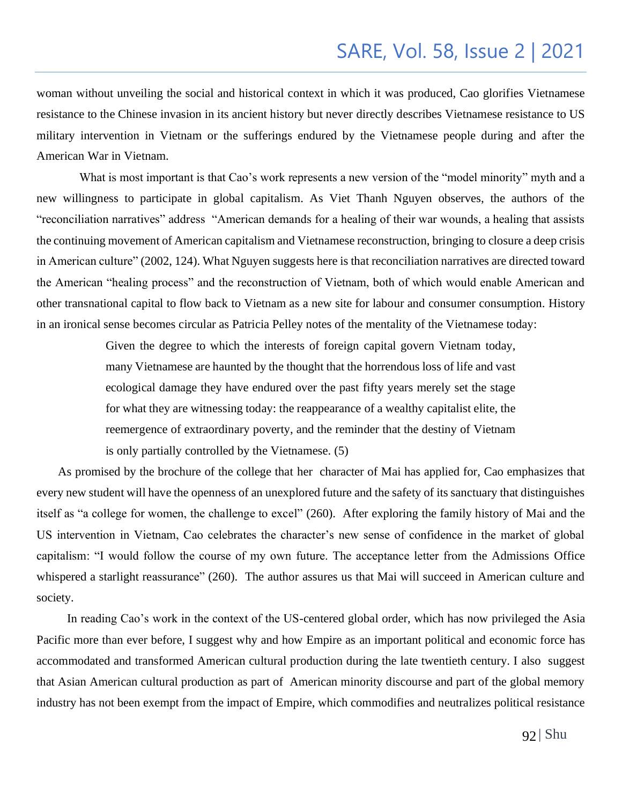woman without unveiling the social and historical context in which it was produced, Cao glorifies Vietnamese resistance to the Chinese invasion in its ancient history but never directly describes Vietnamese resistance to US military intervention in Vietnam or the sufferings endured by the Vietnamese people during and after the American War in Vietnam.

 What is most important is that Cao's work represents a new version of the "model minority" myth and a new willingness to participate in global capitalism. As Viet Thanh Nguyen observes, the authors of the "reconciliation narratives" address "American demands for a healing of their war wounds, a healing that assists the continuing movement of American capitalism and Vietnamese reconstruction, bringing to closure a deep crisis in American culture" (2002, 124). What Nguyen suggests here is that reconciliation narratives are directed toward the American "healing process" and the reconstruction of Vietnam, both of which would enable American and other transnational capital to flow back to Vietnam as a new site for labour and consumer consumption. History in an ironical sense becomes circular as Patricia Pelley notes of the mentality of the Vietnamese today:

> Given the degree to which the interests of foreign capital govern Vietnam today, many Vietnamese are haunted by the thought that the horrendous loss of life and vast ecological damage they have endured over the past fifty years merely set the stage for what they are witnessing today: the reappearance of a wealthy capitalist elite, the reemergence of extraordinary poverty, and the reminder that the destiny of Vietnam is only partially controlled by the Vietnamese. (5)

 As promised by the brochure of the college that her character of Mai has applied for, Cao emphasizes that every new student will have the openness of an unexplored future and the safety of its sanctuary that distinguishes itself as "a college for women, the challenge to excel" (260). After exploring the family history of Mai and the US intervention in Vietnam, Cao celebrates the character's new sense of confidence in the market of global capitalism: "I would follow the course of my own future. The acceptance letter from the Admissions Office whispered a starlight reassurance" (260). The author assures us that Mai will succeed in American culture and society.

 In reading Cao's work in the context of the US-centered global order, which has now privileged the Asia Pacific more than ever before, I suggest why and how Empire as an important political and economic force has accommodated and transformed American cultural production during the late twentieth century. I also suggest that Asian American cultural production as part of American minority discourse and part of the global memory industry has not been exempt from the impact of Empire, which commodifies and neutralizes political resistance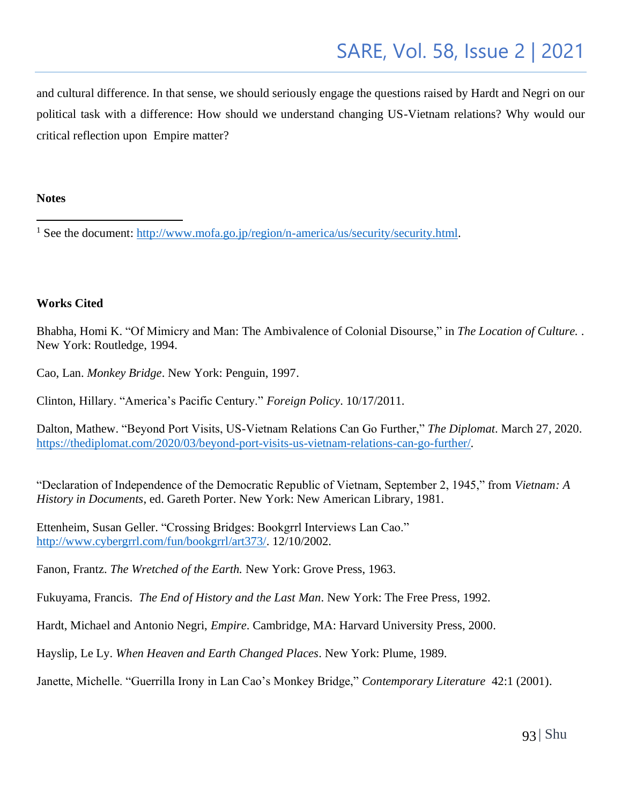and cultural difference. In that sense, we should seriously engage the questions raised by Hardt and Negri on our political task with a difference: How should we understand changing US-Vietnam relations? Why would our critical reflection upon Empire matter?

#### **Notes**

#### **Works Cited**

Bhabha, Homi K. "Of Mimicry and Man: The Ambivalence of Colonial Disourse," in *The Location of Culture.* . New York: Routledge, 1994.

Cao, Lan. *Monkey Bridge*. New York: Penguin, 1997.

Clinton, Hillary. "America's Pacific Century." *Foreign Policy*. 10/17/2011.

Dalton, Mathew. "Beyond Port Visits, US-Vietnam Relations Can Go Further," *The Diplomat*. March 27, 2020. [https://thediplomat.com/2020/03/beyond-port-visits-us-vietnam-relations-can-go-further/.](https://thediplomat.com/2020/03/beyond-port-visits-us-vietnam-relations-can-go-further/)

"Declaration of Independence of the Democratic Republic of Vietnam, September 2, 1945," from *Vietnam: A History in Documents*, ed. Gareth Porter. New York: New American Library, 1981.

Ettenheim, Susan Geller. "Crossing Bridges: Bookgrrl Interviews Lan Cao." [http://www.cybergrrl.com/fun/bookgrrl/art373/.](http://www.cybergrrl.com/fun/bookgrrl/art373/) 12/10/2002.

Fanon, Frantz. *The Wretched of the Earth.* New York: Grove Press, 1963.

Fukuyama, Francis. *The End of History and the Last Man*. New York: The Free Press, 1992.

Hardt, Michael and Antonio Negri, *Empire*. Cambridge, MA: Harvard University Press, 2000.

Hayslip, Le Ly. *When Heaven and Earth Changed Places*. New York: Plume, 1989.

Janette, Michelle. "Guerrilla Irony in Lan Cao's Monkey Bridge," *Contemporary Literature* 42:1 (2001).

<sup>&</sup>lt;sup>1</sup> See the document: [http://www.mofa.go.jp/region/n-america/us/security/security.html.](http://www.mofa.go.jp/region/n-america/us/security/security.html)